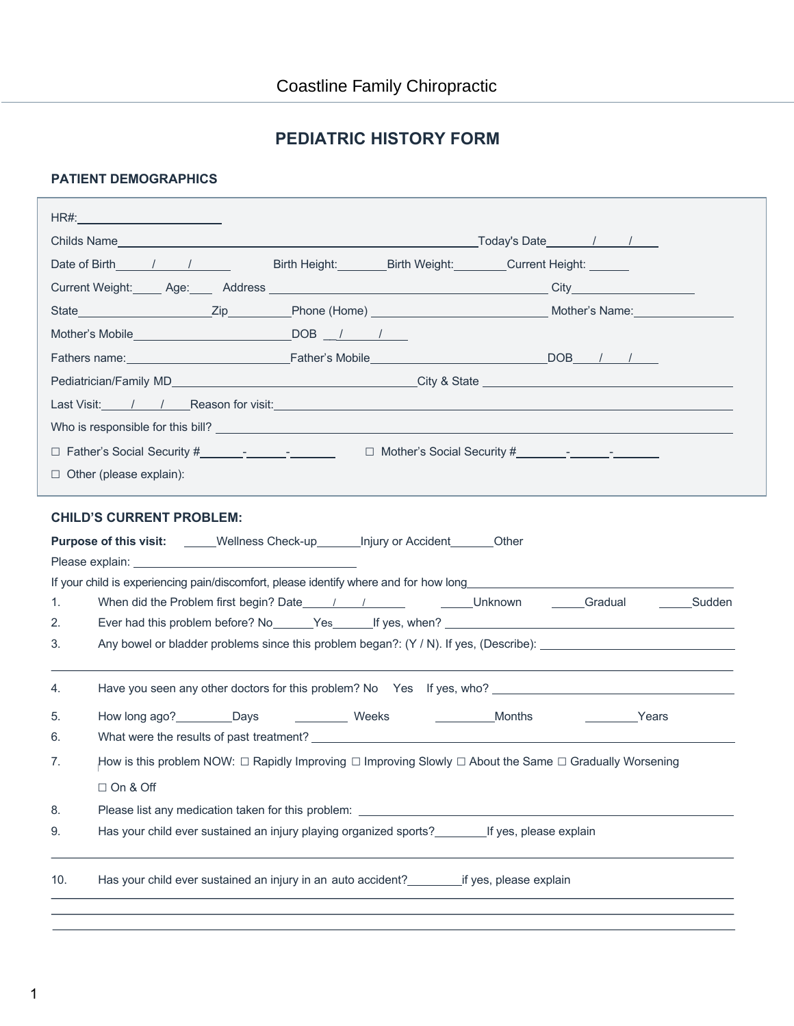# **PEDIATRIC HISTORY FORM**

### **PATIENT DEMOGRAPHICS**

| HR#: __________________________                                                                                               |                                                                                                                            |
|-------------------------------------------------------------------------------------------------------------------------------|----------------------------------------------------------------------------------------------------------------------------|
|                                                                                                                               |                                                                                                                            |
| Date of Birth 1 1                                                                                                             | Birth Height: Birth Weight: Current Height: Current Election                                                               |
|                                                                                                                               |                                                                                                                            |
|                                                                                                                               |                                                                                                                            |
|                                                                                                                               |                                                                                                                            |
|                                                                                                                               |                                                                                                                            |
|                                                                                                                               |                                                                                                                            |
|                                                                                                                               |                                                                                                                            |
|                                                                                                                               |                                                                                                                            |
|                                                                                                                               |                                                                                                                            |
| $\Box$ Other (please explain):                                                                                                |                                                                                                                            |
| <b>CHILD'S CURRENT PROBLEM:</b><br><b>Purpose of this visit:</b> _____Wellness Check-up_______ Injury or Accident_______Other |                                                                                                                            |
|                                                                                                                               |                                                                                                                            |
| 1.                                                                                                                            |                                                                                                                            |
| 2.<br>3.                                                                                                                      |                                                                                                                            |
|                                                                                                                               |                                                                                                                            |
|                                                                                                                               |                                                                                                                            |
| 4.                                                                                                                            |                                                                                                                            |
| 5.                                                                                                                            | Months<br><b>Example 23</b>                                                                                                |
| 6.                                                                                                                            |                                                                                                                            |
| 7.                                                                                                                            | How is this problem NOW: $\Box$ Rapidly Improving $\Box$ Improving Slowly $\Box$ About the Same $\Box$ Gradually Worsening |
| $\Box$ On & Off                                                                                                               |                                                                                                                            |
| 8.<br>Please list any medication taken for this problem:                                                                      | <u> 1989 - Jan Samuel Barbara, martin da shekara tsa 1989 - An tsa 1989 - An tsa 1989 - An tsa 1989 - An tsa 198</u>       |
| Has your child ever sustained an injury playing organized sports? _________ If yes, please explain<br>9.                      |                                                                                                                            |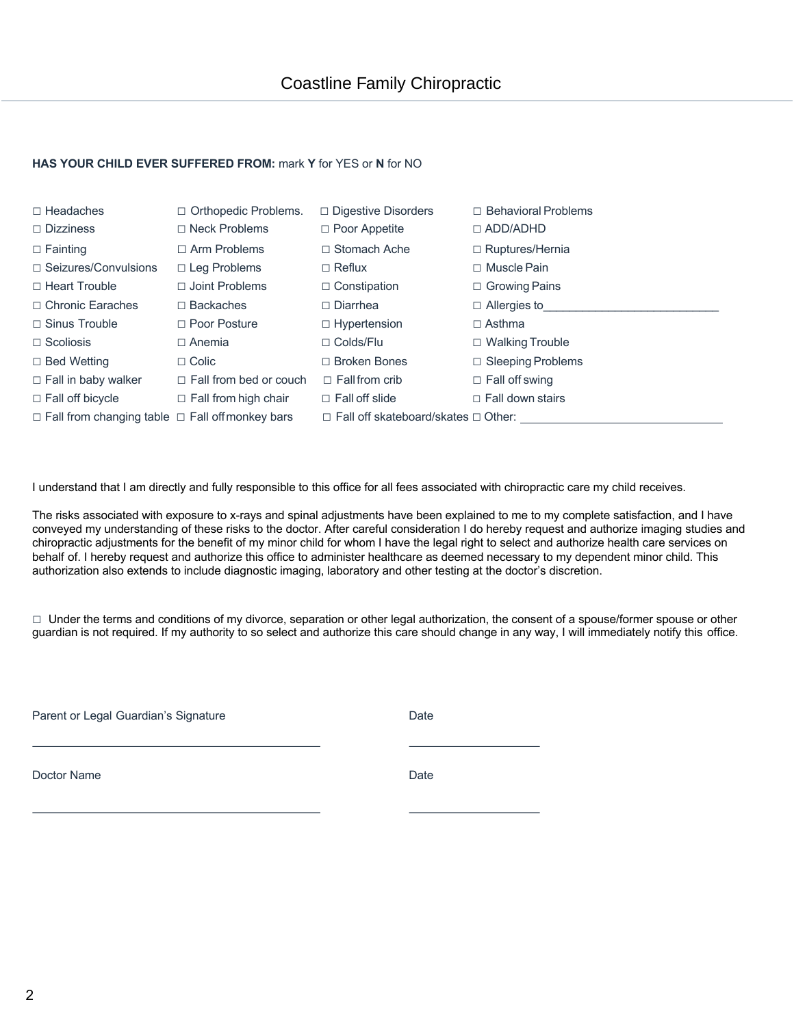#### **HAS YOUR CHILD EVER SUFFERED FROM:** mark **Y** for YES or **N** for NO

| $\Box$ Headaches<br>$\Box$ Dizziness                       | $\Box$ Orthopedic Problems.<br>$\Box$ Neck Problems | $\Box$ Digestive Disorders<br>$\Box$ Poor Appetite | $\Box$ Behavioral Problems<br>$\Box$ ADD/ADHD |
|------------------------------------------------------------|-----------------------------------------------------|----------------------------------------------------|-----------------------------------------------|
| $\Box$ Fainting                                            | $\Box$ Arm Problems                                 | $\Box$ Stomach Ache                                | $\Box$ Ruptures/Hernia                        |
| $\Box$ Seizures/Convulsions                                | $\Box$ Leg Problems                                 | $\Box$ Reflux                                      | $\Box$ Muscle Pain                            |
| $\Box$ Heart Trouble                                       | $\Box$ Joint Problems                               | $\Box$ Constipation                                | $\Box$ Growing Pains                          |
| □ Chronic Earaches                                         | $\Box$ Backaches                                    | $\Box$ Diarrhea                                    | $\Box$ Allergies to                           |
| $\Box$ Sinus Trouble                                       | $\Box$ Poor Posture                                 | $\Box$ Hypertension                                | $\Box$ Asthma                                 |
| $\Box$ Scoliosis                                           | $\Box$ Anemia                                       | $\Box$ Colds/Flu                                   | $\Box$ Walking Trouble                        |
| $\Box$ Bed Wetting                                         | $\Box$ Colic                                        | $\Box$ Broken Bones                                | $\Box$ Sleeping Problems                      |
| $\Box$ Fall in baby walker                                 | $\Box$ Fall from bed or couch                       | $\Box$ Fall from crib                              | $\Box$ Fall off swing                         |
| $\Box$ Fall off bicycle                                    | $\Box$ Fall from high chair                         | $\Box$ Fall off slide                              | $\Box$ Fall down stairs                       |
| $\Box$ Fall from changing table $\Box$ Fall offmonkey bars |                                                     | $\Box$ Fall off skateboard/skates $\Box$ Other:    |                                               |

I understand that I am directly and fully responsible to this office for all fees associated with chiropractic care my child receives.

The risks associated with exposure to x-rays and spinal adjustments have been explained to me to my complete satisfaction, and I have conveyed my understanding of these risks to the doctor. After careful consideration I do hereby request and authorize imaging studies and chiropractic adjustments for the benefit of my minor child for whom I have the legal right to select and authorize health care services on behalf of. I hereby request and authorize this office to administer healthcare as deemed necessary to my dependent minor child. This authorization also extends to include diagnostic imaging, laboratory and other testing at the doctor's discretion.

□ Under the terms and conditions of my divorce, separation or other legal authorization, the consent of a spouse/former spouse or other guardian is not required. If my authority to so select and authorize this care should change in any way, I will immediately notify this office.

Parent or Legal Guardian's Signature **Date** Date

Doctor Name Date **Date**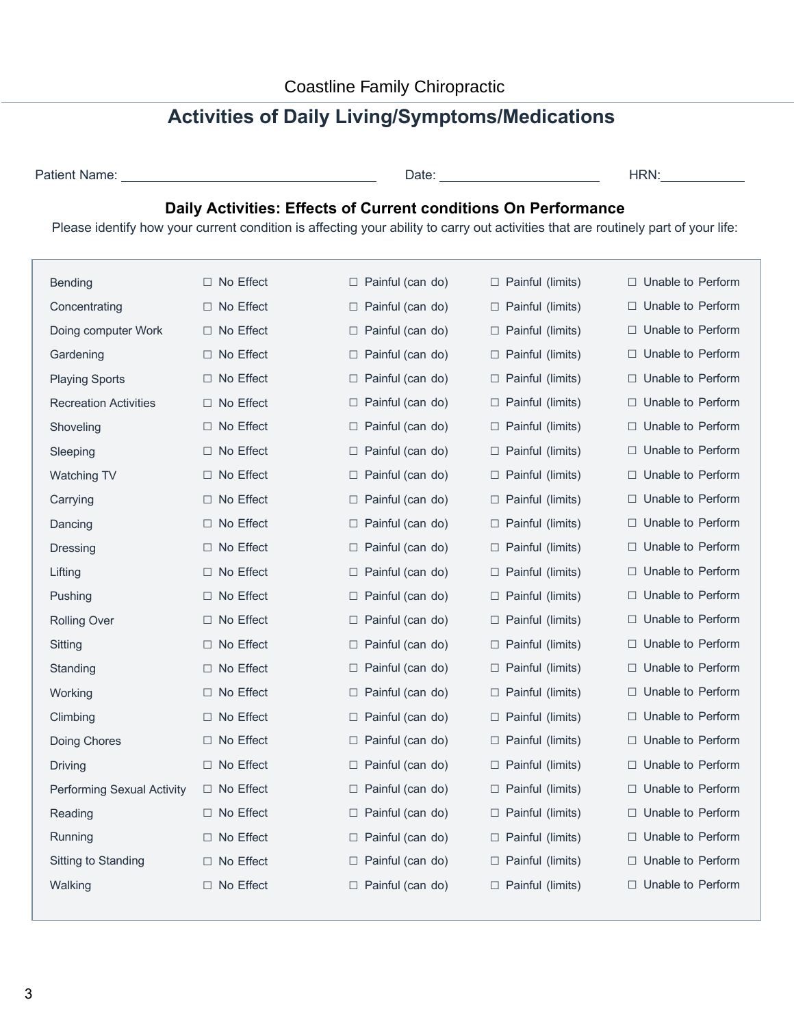# **Activities of Daily Living/Symptoms/Medications**

| Patient Name: |  |
|---------------|--|
|               |  |

Patient Name: Date: HRN:

## **Daily Activities: Effects of Current conditions On Performance**

Please identify how your current condition is affecting your ability to carry out activities that are routinely part of your life:

| Bending                      | $\Box$ No Effect | $\Box$ Painful (can do) | □ Painful (limits)         | $\Box$ Unable to Perform |
|------------------------------|------------------|-------------------------|----------------------------|--------------------------|
| Concentrating                | $\Box$ No Effect | $\Box$ Painful (can do) | □ Painful (limits)         | $\Box$ Unable to Perform |
| Doing computer Work          | $\Box$ No Effect | $\Box$ Painful (can do) | $\Box$ Painful (limits)    | $\Box$ Unable to Perform |
| Gardening                    | □ No Effect      | $\Box$ Painful (can do) | □ Painful (limits)         | $\Box$ Unable to Perform |
| <b>Playing Sports</b>        | □ No Effect      | $\Box$ Painful (can do) | $\Box$ Painful (limits)    | $\Box$ Unable to Perform |
| <b>Recreation Activities</b> | $\Box$ No Effect | $\Box$ Painful (can do) | $\Box$ Painful (limits)    | $\Box$ Unable to Perform |
| Shoveling                    | $\Box$ No Effect | $\Box$ Painful (can do) | □ Painful (limits)         | $\Box$ Unable to Perform |
| Sleeping                     | $\Box$ No Effect | $\Box$ Painful (can do) | □ Painful (limits)         | $\Box$ Unable to Perform |
| Watching TV                  | □ No Effect      | $\Box$ Painful (can do) | $\Box$ Painful (limits)    | $\Box$ Unable to Perform |
| Carrying                     | $\Box$ No Effect | $\Box$ Painful (can do) | □ Painful (limits)         | $\Box$ Unable to Perform |
| Dancing                      | $\Box$ No Effect | $\Box$ Painful (can do) | □ Painful (limits)         | $\Box$ Unable to Perform |
| Dressing                     | $\Box$ No Effect | $\Box$ Painful (can do) | $\Box$ Painful (limits)    | $\Box$ Unable to Perform |
| Lifting                      | $\Box$ No Effect | $\Box$ Painful (can do) | Painful (limits)<br>□      | □ Unable to Perform      |
| Pushing                      | $\Box$ No Effect | $\Box$ Painful (can do) | □ Painful (limits)         | $\Box$ Unable to Perform |
| <b>Rolling Over</b>          | □ No Effect      | $\Box$ Painful (can do) | □ Painful (limits)         | $\Box$ Unable to Perform |
| Sitting                      | □ No Effect      | $\Box$ Painful (can do) | □ Painful (limits)         | $\Box$ Unable to Perform |
| Standing                     | $\Box$ No Effect | □ Painful (can do)      | □ Painful (limits)         | $\Box$ Unable to Perform |
| Working                      | $\Box$ No Effect | $\Box$ Painful (can do) | □ Painful (limits)         | □ Unable to Perform      |
| Climbing                     | $\Box$ No Effect | $\Box$ Painful (can do) | Painful (limits)<br>□      | $\Box$ Unable to Perform |
| Doing Chores                 | □ No Effect      | $\Box$ Painful (can do) | □ Painful (limits)         | $\Box$ Unable to Perform |
| <b>Driving</b>               | $\Box$ No Effect | $\Box$ Painful (can do) | □ Painful (limits)         | $\Box$ Unable to Perform |
| Performing Sexual Activity   | □ No Effect      | $\Box$ Painful (can do) | □ Painful (limits)         | $\Box$ Unable to Perform |
| Reading                      | $\Box$ No Effect | □ Painful (can do)      | $\Box$ Painful (limits)    | $\Box$ Unable to Perform |
| Running                      | $\Box$ No Effect | $\Box$ Painful (can do) | Painful (limits)<br>$\Box$ | $\Box$ Unable to Perform |
| Sitting to Standing          | □ No Effect      | $\Box$ Painful (can do) | $\Box$ Painful (limits)    | $\Box$ Unable to Perform |
| Walking                      | $\Box$ No Effect | $\Box$ Painful (can do) | □ Painful (limits)         | □ Unable to Perform      |
|                              |                  |                         |                            |                          |